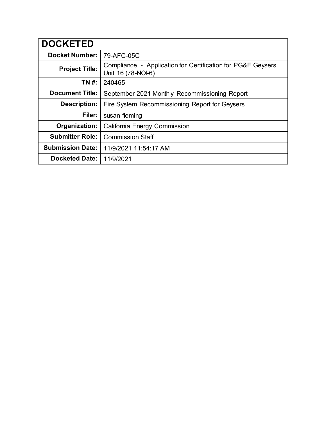| <b>DOCKETED</b>         |                                                                                   |
|-------------------------|-----------------------------------------------------------------------------------|
| <b>Docket Number:</b>   | 79-AFC-05C                                                                        |
| <b>Project Title:</b>   | Compliance - Application for Certification for PG&E Geysers<br>Unit 16 (78-NOI-6) |
| TN #:                   | 240465                                                                            |
| <b>Document Title:</b>  | September 2021 Monthly Recommissioning Report                                     |
| <b>Description:</b>     | Fire System Recommissioning Report for Geysers                                    |
| Filer:                  | susan fleming                                                                     |
| Organization:           | <b>California Energy Commission</b>                                               |
| <b>Submitter Role:</b>  | <b>Commission Staff</b>                                                           |
| <b>Submission Date:</b> | 11/9/2021 11:54:17 AM                                                             |
| <b>Docketed Date:</b>   | 11/9/2021                                                                         |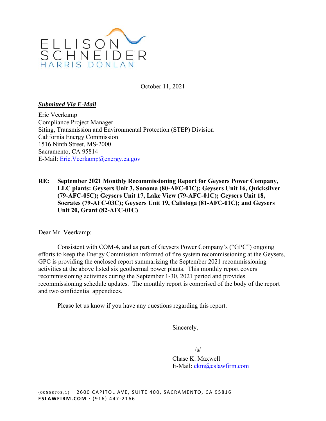

October 11, 2021

## *Submitted Via E-Mail*

Eric Veerkamp Compliance Project Manager Siting, Transmission and Environmental Protection (STEP) Division California Energy Commission 1516 Ninth Street, MS-2000 Sacramento, CA 95814 E-Mail: [Eric.Veerkamp@energy.ca.gov](mailto:Eric.Veerkamp@energy.ca.gov)

**RE: September 2021 Monthly Recommissioning Report for Geysers Power Company, LLC plants: Geysers Unit 3, Sonoma (80-AFC-01C); Geysers Unit 16, Quicksilver (79-AFC-05C); Geysers Unit 17, Lake View (79-AFC-01C); Geysers Unit 18, Socrates (79-AFC-03C); Geysers Unit 19, Calistoga (81-AFC-01C); and Geysers Unit 20, Grant (82-AFC-01C)** 

Dear Mr. Veerkamp:

Consistent with COM-4, and as part of Geysers Power Company's ("GPC") ongoing efforts to keep the Energy Commission informed of fire system recommissioning at the Geysers, GPC is providing the enclosed report summarizing the September 2021 recommissioning activities at the above listed six geothermal power plants. This monthly report covers recommissioning activities during the September 1-30, 2021 period and provides recommissioning schedule updates. The monthly report is comprised of the body of the report and two confidential appendices.

Please let us know if you have any questions regarding this report.

Sincerely,

 $\sqrt{s}$ 

Chase K. Maxwell E-Mail: [ckm@eslawfirm.com](mailto:ckm@eslawfirm.com)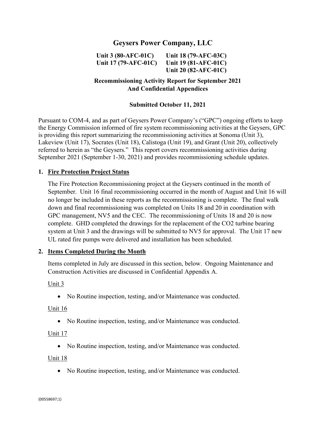# **Geysers Power Company, LLC**

**Unit 3 (80-AFC-01C) Unit 18 (79-AFC-03C)**

**Unit 17 (79-AFC-01C) Unit 19 (81-AFC-01C) Unit 20 (82-AFC-01C)**

# **Recommissioning Activity Report for September 2021 And Confidential Appendices**

## **Submitted October 11, 2021**

Pursuant to COM-4, and as part of Geysers Power Company's ("GPC") ongoing efforts to keep the Energy Commission informed of fire system recommissioning activities at the Geysers, GPC is providing this report summarizing the recommissioning activities at Sonoma (Unit 3), Lakeview (Unit 17), Socrates (Unit 18), Calistoga (Unit 19), and Grant (Unit 20), collectively referred to herein as "the Geysers." This report covers recommissioning activities during September 2021 (September 1-30, 2021) and provides recommissioning schedule updates.

### **1. Fire Protection Project Status**

The Fire Protection Recommissioning project at the Geysers continued in the month of September. Unit 16 final recommissioning occurred in the month of August and Unit 16 will no longer be included in these reports as the recommissioning is complete. The final walk down and final recommissioning was completed on Units 18 and 20 in coordination with GPC management, NV5 and the CEC. The recommissioning of Units 18 and 20 is now complete. GHD completed the drawings for the replacement of the CO2 turbine bearing system at Unit 3 and the drawings will be submitted to NV5 for approval. The Unit 17 new UL rated fire pumps were delivered and installation has been scheduled.

### **2. Items Completed During the Month**

Items completed in July are discussed in this section, below. Ongoing Maintenance and Construction Activities are discussed in Confidential Appendix A.

Unit 3

• No Routine inspection, testing, and/or Maintenance was conducted.

#### Unit 16

No Routine inspection, testing, and/or Maintenance was conducted.

#### Unit 17

• No Routine inspection, testing, and/or Maintenance was conducted.

Unit 18

• No Routine inspection, testing, and/or Maintenance was conducted.